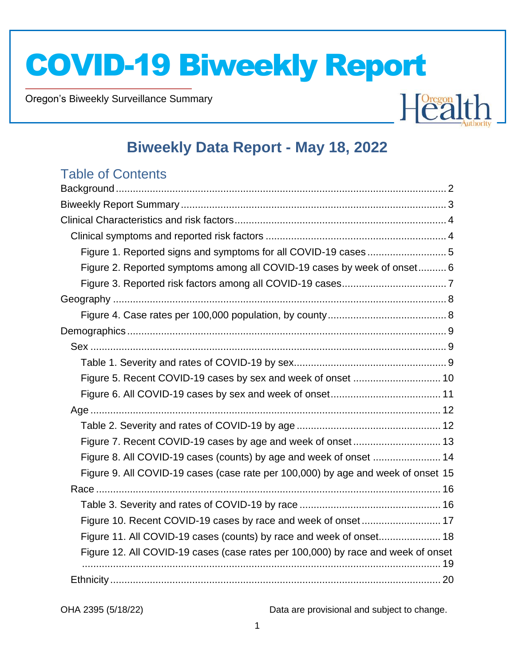Oregon's Biweekly Surveillance Summary

Novel Coronavirus (COVID-19)



### **Biweekly Data Report - May 18, 2022**

### Table of Contents

| Figure 1. Reported signs and symptoms for all COVID-19 cases  5                  |  |
|----------------------------------------------------------------------------------|--|
| Figure 2. Reported symptoms among all COVID-19 cases by week of onset 6          |  |
|                                                                                  |  |
|                                                                                  |  |
|                                                                                  |  |
|                                                                                  |  |
|                                                                                  |  |
|                                                                                  |  |
|                                                                                  |  |
|                                                                                  |  |
|                                                                                  |  |
|                                                                                  |  |
|                                                                                  |  |
| Figure 8. All COVID-19 cases (counts) by age and week of onset  14               |  |
| Figure 9. All COVID-19 cases (case rate per 100,000) by age and week of onset 15 |  |
|                                                                                  |  |
|                                                                                  |  |
| Figure 10. Recent COVID-19 cases by race and week of onset 17                    |  |
| Figure 11. All COVID-19 cases (counts) by race and week of onset 18              |  |
| Figure 12. All COVID-19 cases (case rates per 100,000) by race and week of onset |  |
|                                                                                  |  |
|                                                                                  |  |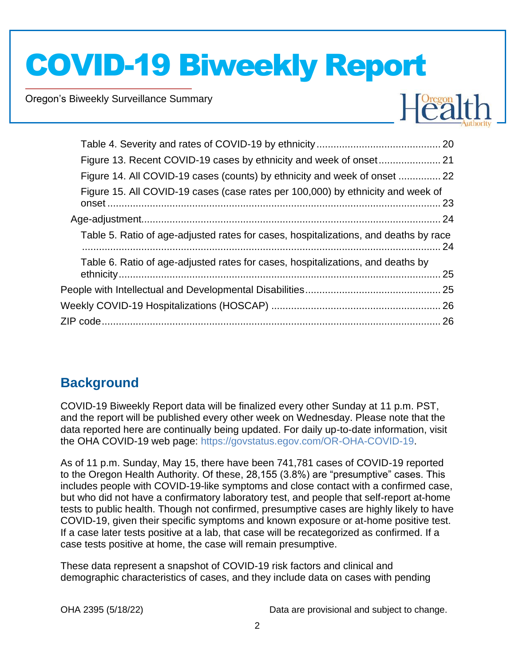Oregon's Biweekly Surveillance Summary

Novel Coronavirus (COVID-19)



| Figure 14. All COVID-19 cases (counts) by ethnicity and week of onset  22            |      |
|--------------------------------------------------------------------------------------|------|
| Figure 15. All COVID-19 cases (case rates per 100,000) by ethnicity and week of      |      |
|                                                                                      |      |
| Table 5. Ratio of age-adjusted rates for cases, hospitalizations, and deaths by race | . 24 |
| Table 6. Ratio of age-adjusted rates for cases, hospitalizations, and deaths by      | .25  |
|                                                                                      |      |
|                                                                                      |      |
|                                                                                      |      |
|                                                                                      |      |

### **Background**

COVID-19 Biweekly Report data will be finalized every other Sunday at 11 p.m. PST, and the report will be published every other week on Wednesday. Please note that the data reported here are continually being updated. For daily up-to-date information, visit the OHA COVID-19 web page: https://govstatus.egov.com/OR-OHA-COVID-19.

As of 11 p.m. Sunday, May 15, there have been 741,781 cases of COVID-19 reported to the Oregon Health Authority. Of these, 28,155 (3.8%) are "presumptive" cases. This includes people with COVID-19-like symptoms and close contact with a confirmed case, but who did not have a confirmatory laboratory test, and people that self-report at-home tests to public health. Though not confirmed, presumptive cases are highly likely to have COVID-19, given their specific symptoms and known exposure or at-home positive test. If a case later tests positive at a lab, that case will be recategorized as confirmed. If a case tests positive at home, the case will remain presumptive.

These data represent a snapshot of COVID-19 risk factors and clinical and demographic characteristics of cases, and they include data on cases with pending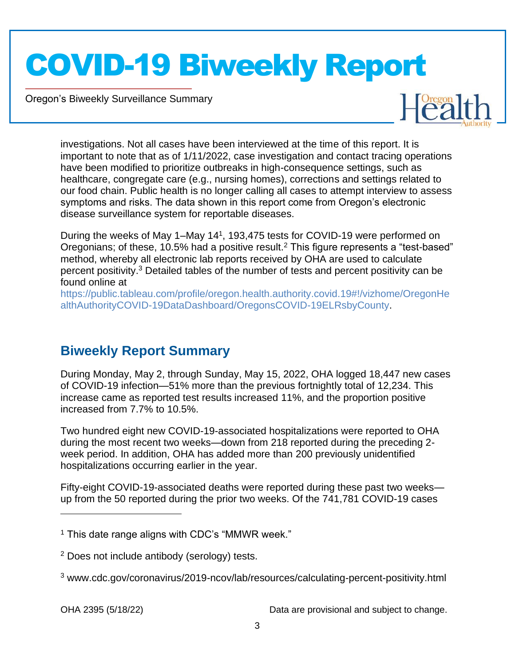Oregon's Biweekly Surveillance Summary

Novel Coronavirus (COVID-19)



investigations. Not all cases have been interviewed at the time of this report. It is important to note that as of 1/11/2022, case investigation and contact tracing operations have been modified to prioritize outbreaks in high-consequence settings, such as healthcare, congregate care (e.g., nursing homes), corrections and settings related to our food chain. Public health is no longer calling all cases to attempt interview to assess symptoms and risks. The data shown in this report come from Oregon's electronic disease surveillance system for reportable diseases.

During the weeks of May 1–May 14<sup>1</sup>, 193,475 tests for COVID-19 were performed on Oregonians; of these, 10.5% had a positive result.<sup>2</sup> This figure represents a "test-based" method, whereby all electronic lab reports received by OHA are used to calculate percent positivity.<sup>3</sup> Detailed tables of the number of tests and percent positivity can be found online at

https://public.tableau.com/profile/oregon.health.authority.covid.19#!/vizhome/OregonHe althAuthorityCOVID-19DataDashboard/OregonsCOVID-19ELRsbyCounty.

### **Biweekly Report Summary**

During Monday, May 2, through Sunday, May 15, 2022, OHA logged 18,447 new cases of COVID-19 infection—51% more than the previous fortnightly total of 12,234. This increase came as reported test results increased 11%, and the proportion positive increased from 7.7% to 10.5%.

Two hundred eight new COVID-19-associated hospitalizations were reported to OHA during the most recent two weeks—down from 218 reported during the preceding 2 week period. In addition, OHA has added more than 200 previously unidentified hospitalizations occurring earlier in the year.

Fifty-eight COVID-19-associated deaths were reported during these past two weeks up from the 50 reported during the prior two weeks. Of the 741,781 COVID-19 cases

 $1$  This date range aligns with CDC's "MMWR week."

<sup>2</sup> Does not include antibody (serology) tests.

<sup>3</sup> www.cdc.gov/coronavirus/2019-ncov/lab/resources/calculating-percent-positivity.html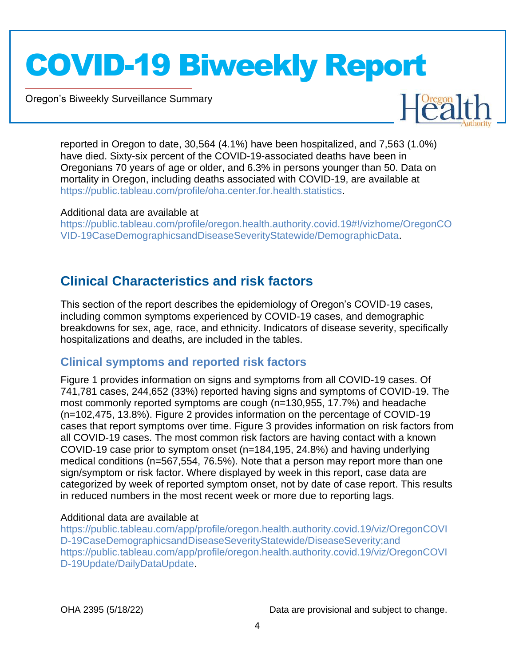Oregon's Biweekly Surveillance Summary

Novel Coronavirus (COVID-19)



reported in Oregon to date, 30,564 (4.1%) have been hospitalized, and 7,563 (1.0%) have died. Sixty-six percent of the COVID-19-associated deaths have been in Oregonians 70 years of age or older, and 6.3% in persons younger than 50. Data on mortality in Oregon, including deaths associated with COVID-19, are available at https://public.tableau.com/profile/oha.center.for.health.statistics.

### Additional data are available at

https://public.tableau.com/profile/oregon.health.authority.covid.19#!/vizhome/OregonCO VID-19CaseDemographicsandDiseaseSeverityStatewide/DemographicData.

### **Clinical Characteristics and risk factors**

This section of the report describes the epidemiology of Oregon's COVID-19 cases, including common symptoms experienced by COVID-19 cases, and demographic breakdowns for sex, age, race, and ethnicity. Indicators of disease severity, specifically hospitalizations and deaths, are included in the tables.

### **Clinical symptoms and reported risk factors**

Figure 1 provides information on signs and symptoms from all COVID-19 cases. Of 741,781 cases, 244,652 (33%) reported having signs and symptoms of COVID-19. The most commonly reported symptoms are cough (n=130,955, 17.7%) and headache (n=102,475, 13.8%). Figure 2 provides information on the percentage of COVID-19 cases that report symptoms over time. Figure 3 provides information on risk factors from all COVID-19 cases. The most common risk factors are having contact with a known COVID-19 case prior to symptom onset (n=184,195, 24.8%) and having underlying medical conditions (n=567,554, 76.5%). Note that a person may report more than one sign/symptom or risk factor. Where displayed by week in this report, case data are categorized by week of reported symptom onset, not by date of case report. This results in reduced numbers in the most recent week or more due to reporting lags.

### Additional data are available at

https://public.tableau.com/app/profile/oregon.health.authority.covid.19/viz/OregonCOVI D-19CaseDemographicsandDiseaseSeverityStatewide/DiseaseSeverity;and https://public.tableau.com/app/profile/oregon.health.authority.covid.19/viz/OregonCOVI D-19Update/DailyDataUpdate.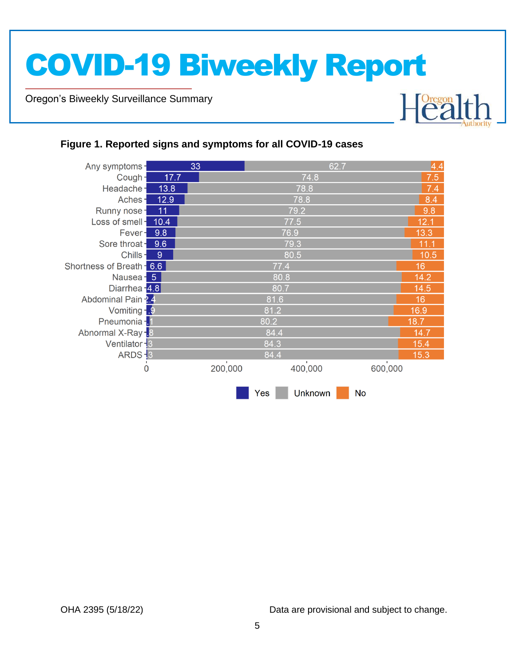Oregon's Biweekly Surveillance Summary

Novel Coronavirus (COVID-19)

#### Any symptoms-33 62.7  $\overline{A}$  $74.8$ Cough- $17.7$  $7.5$ 78.8 Headache- $13.8$  $7.4$ Aches- $12.9$ 78.8  $8.4$ Runny nose-79.2  $9.8$  $-11$ Loss of smell - 10.4 77.5  $12.1$ Fever - 9.8 76.9  $13.3$ Sore throat - 9.6 79.3  $11.1$ Chills- $\overline{9}$  $80.5$  $10.5$ Shortness of Breath - 6.6  $16$ Nausea - 5 80.8  $14.2$ Diarrhea - 4.8  $14.5$ 80.7 Abdominal Pain 2.4 81.6  $16$ Vomiting - 9  $81.2$  $16.9$ Pneumonia - 1 80.2  $18.7<sub>2</sub>$ Abnormal X-Ray -8 84.4  $14.7$ Ventilator -3  $84.3$  $15.4$  $15.3$  $ARDS - 3$ 84.4 200,000 400.000 600.000  $\dot{o}$ Yes **Unknown No**

### **Figure 1. Reported signs and symptoms for all COVID-19 cases**

OHA 2395 (5/18/22) Data are provisional and subject to change.

Healt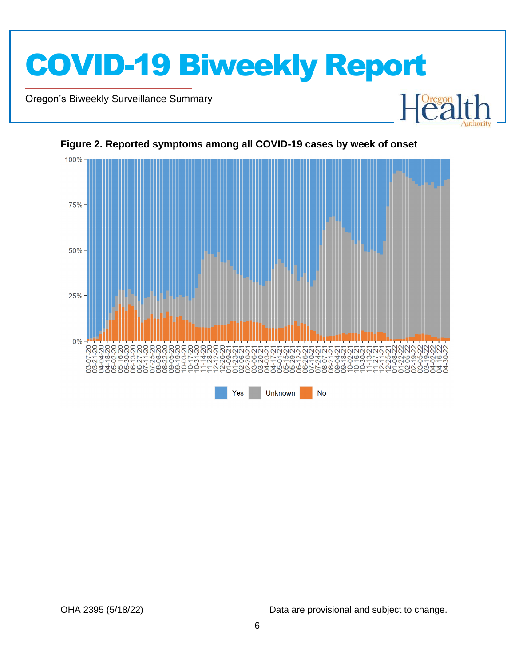

Oregon's Biweekly Surveillance Summary

Novel Coronavirus (COVID-19)



#### **Figure 2. Reported symptoms among all COVID-19 cases by week of onset**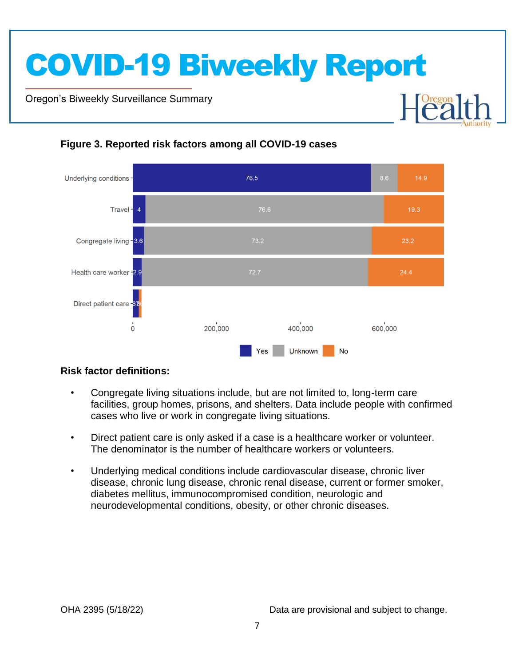Oregon's Biweekly Surveillance Summary

Novel Coronavirus (COVID-19)



### **Figure 3. Reported risk factors among all COVID-19 cases**

### **Risk factor definitions:**

- Congregate living situations include, but are not limited to, long-term care facilities, group homes, prisons, and shelters. Data include people with confirmed cases who live or work in congregate living situations.
- Direct patient care is only asked if a case is a healthcare worker or volunteer. The denominator is the number of healthcare workers or volunteers.
- Underlying medical conditions include cardiovascular disease, chronic liver disease, chronic lung disease, chronic renal disease, current or former smoker, diabetes mellitus, immunocompromised condition, neurologic and neurodevelopmental conditions, obesity, or other chronic diseases.

**Dregon**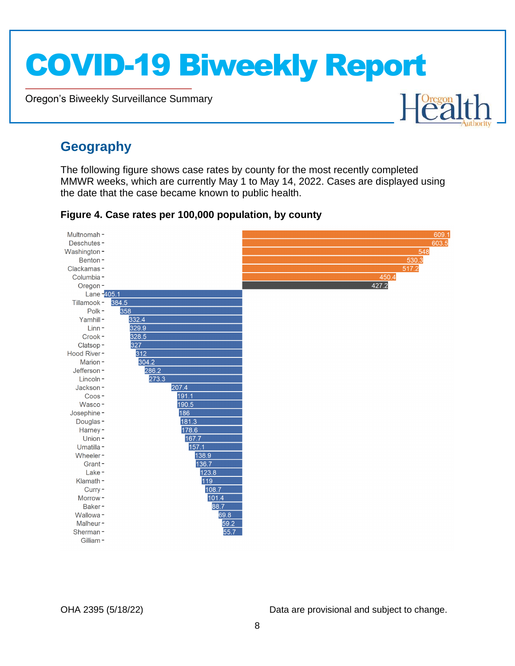Oregon's Biweekly Surveillance Summary

### **Geography**

Novel Coronavirus (COVID-19)

The following figure shows case rates by county for the most recently completed MMWR weeks, which are currently May 1 to May 14, 2022. Cases are displayed using the date that the case became known to public health.

#### Multnomah-Deschutes-Washington-548 Benton- $530.3$ Clackamas- $5172$ Columbia -450.4 427.2 Oregon-Lane - 405.1 Tillamook -384.5 Polk-358 332.4 Yamhill-329.9 Linn-Crook- $328.5$ Clatsop-327 Hood River-312 Marion-304.2 286.2 Jefferson-273.3 Lincoln-Jackson-207.4  $191.1$  $C<sub>008</sub>$ Wasco-190.5 Josephine-186 Douglas-181.3 178.6 Harney-167.7 Union-Umatilla-157.1 138.9 Wheeler-Grant-136.7 Lake-123.8 119 Klamath -Curry-108.7 Morrow- $101.4$  $88.7$ Baker-Wallowa-69.8 Malheur-59.2  $55.7$ Sherman-Gilliam-

### **Figure 4. Case rates per 100,000 population, by county**

OHA 2395 (5/18/22) Data are provisional and subject to change.

Healt

609  $603.5$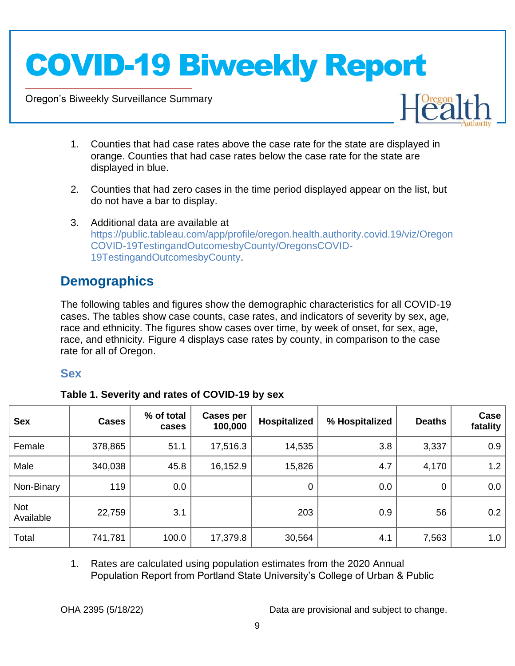Oregon's Biweekly Surveillance Summary

Novel Coronavirus (COVID-19)



- 1. Counties that had case rates above the case rate for the state are displayed in orange. Counties that had case rates below the case rate for the state are displayed in blue.
- 2. Counties that had zero cases in the time period displayed appear on the list, but do not have a bar to display.
- 3. Additional data are available at https://public.tableau.com/app/profile/oregon.health.authority.covid.19/viz/Oregon COVID-19TestingandOutcomesbyCounty/OregonsCOVID-19TestingandOutcomesbyCounty.

### **Demographics**

The following tables and figures show the demographic characteristics for all COVID-19 cases. The tables show case counts, case rates, and indicators of severity by sex, age, race and ethnicity. The figures show cases over time, by week of onset, for sex, age, race, and ethnicity. Figure 4 displays case rates by county, in comparison to the case rate for all of Oregon.

### **Sex**

|  | Table 1. Severity and rates of COVID-19 by sex |  |
|--|------------------------------------------------|--|
|  |                                                |  |

| <b>Sex</b>       | <b>Cases</b> | % of total<br>cases | <b>Cases per</b><br>100,000 | Hospitalized | % Hospitalized | <b>Deaths</b> | Case<br>fatality |
|------------------|--------------|---------------------|-----------------------------|--------------|----------------|---------------|------------------|
| Female           | 378,865      | 51.1                | 17,516.3                    | 14,535       | 3.8            | 3,337         | 0.9              |
| Male             | 340,038      | 45.8                | 16,152.9                    | 15,826       | 4.7            | 4,170         | 1.2              |
| Non-Binary       | 119          | 0.0                 |                             | 0            | 0.0            | 0             | 0.0              |
| Not<br>Available | 22,759       | 3.1                 |                             | 203          | 0.9            | 56            | 0.2              |
| Total            | 741,781      | 100.0               | 17,379.8                    | 30,564       | 4.1            | 7,563         | 1.0              |

1. Rates are calculated using population estimates from the 2020 Annual Population Report from Portland State University's College of Urban & Public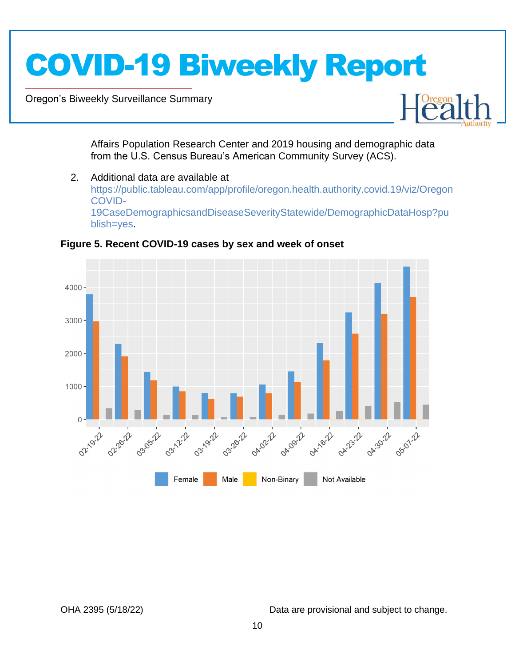Oregon's Biweekly Surveillance Summary

Novel Coronavirus (COVID-19)



Affairs Population Research Center and 2019 housing and demographic data from the U.S. Census Bureau's American Community Survey (ACS).

2. Additional data are available at https://public.tableau.com/app/profile/oregon.health.authority.covid.19/viz/Oregon COVID-19CaseDemographicsandDiseaseSeverityStatewide/DemographicDataHosp?pu blish=yes.



**Figure 5. Recent COVID-19 cases by sex and week of onset**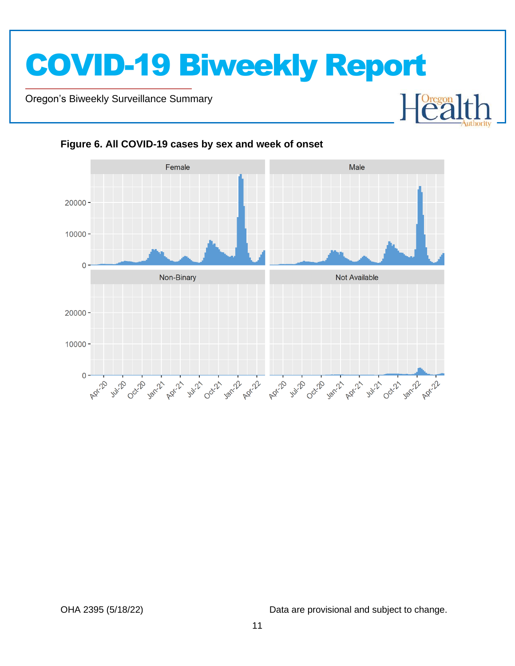Oregon's Biweekly Surveillance Summary

Novel Coronavirus (COVID-19)



**Figure 6. All COVID-19 cases by sex and week of onset**

OHA 2395 (5/18/22) Data are provisional and subject to change.

**Oregon**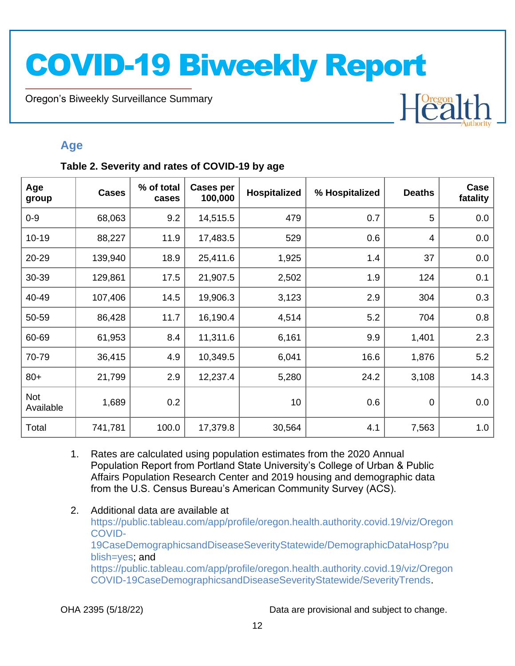Oregon's Biweekly Surveillance Summary

### **Age**

Novel Coronavirus (COVID-19)

### **Table 2. Severity and rates of COVID-19 by age**

| Age<br>group            | <b>Cases</b> | % of total<br>cases | <b>Cases per</b><br>100,000 | Hospitalized | % Hospitalized | <b>Deaths</b> | Case<br>fatality |
|-------------------------|--------------|---------------------|-----------------------------|--------------|----------------|---------------|------------------|
| $0 - 9$                 | 68,063       | 9.2                 | 14,515.5                    | 479          | 0.7            | 5             | 0.0              |
| $10 - 19$               | 88,227       | 11.9                | 17,483.5                    | 529          | 0.6            | 4             | 0.0              |
| 20-29                   | 139,940      | 18.9                | 25,411.6                    | 1,925        | 1.4            | 37            | 0.0              |
| 30-39                   | 129,861      | 17.5                | 21,907.5                    | 2,502        | 1.9            | 124           | 0.1              |
| 40-49                   | 107,406      | 14.5                | 19,906.3                    | 3,123        | 2.9            | 304           | 0.3              |
| 50-59                   | 86,428       | 11.7                | 16,190.4                    | 4,514        | 5.2            | 704           | 0.8              |
| 60-69                   | 61,953       | 8.4                 | 11,311.6                    | 6,161        | 9.9            | 1,401         | 2.3              |
| 70-79                   | 36,415       | 4.9                 | 10,349.5                    | 6,041        | 16.6           | 1,876         | 5.2              |
| $80+$                   | 21,799       | 2.9                 | 12,237.4                    | 5,280        | 24.2           | 3,108         | 14.3             |
| <b>Not</b><br>Available | 1,689        | 0.2                 |                             | 10           | 0.6            | $\mathbf 0$   | 0.0              |
| Total                   | 741,781      | 100.0               | 17,379.8                    | 30,564       | 4.1            | 7,563         | 1.0              |

- 1. Rates are calculated using population estimates from the 2020 Annual Population Report from Portland State University's College of Urban & Public Affairs Population Research Center and 2019 housing and demographic data from the U.S. Census Bureau's American Community Survey (ACS).
- 2. Additional data are available at https://public.tableau.com/app/profile/oregon.health.authority.covid.19/viz/Oregon COVID-19CaseDemographicsandDiseaseSeverityStatewide/DemographicDataHosp?pu blish=yes; and https://public.tableau.com/app/profile/oregon.health.authority.covid.19/viz/Oregon COVID-19CaseDemographicsandDiseaseSeverityStatewide/SeverityTrends.

OHA 2395 (5/18/22) Data are provisional and subject to change.

Healt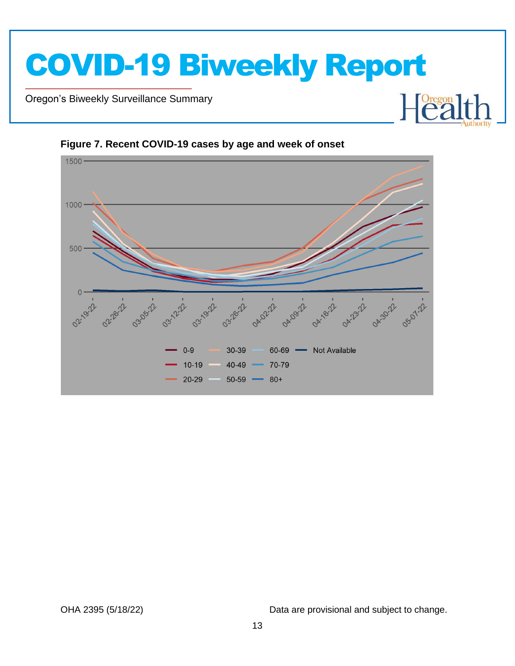



**Figure 7. Recent COVID-19 cases by age and week of onset**

Novel Coronavirus (COVID-19)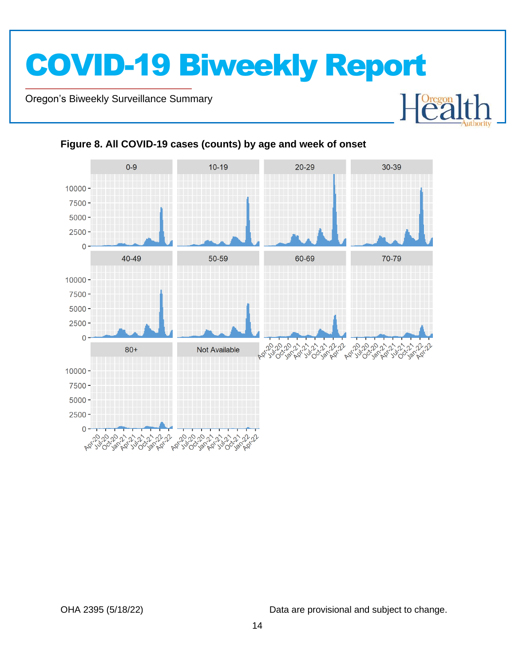Oregon's Biweekly Surveillance Summary

Novel Coronavirus (COVID-19)



### **Figure 8. All COVID-19 cases (counts) by age and week of onset**

OHA 2395 (5/18/22) Data are provisional and subject to change.

 $\begin{bmatrix} \text{Oregon} \\ \text{C2} \end{bmatrix}$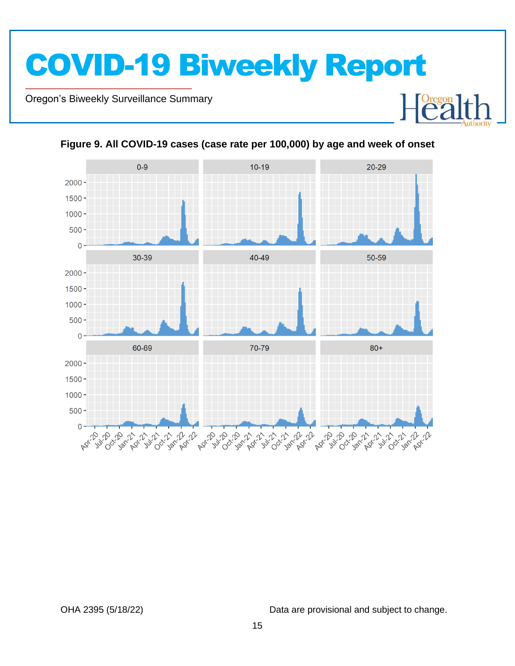Oregon's Biweekly Surveillance Summary

Novel Coronavirus (COVID-19)



**Figure 9. All COVID-19 cases (case rate per 100,000) by age and week of onset**

OHA 2395 (5/18/22) Data are provisional and subject to change.

**Heal**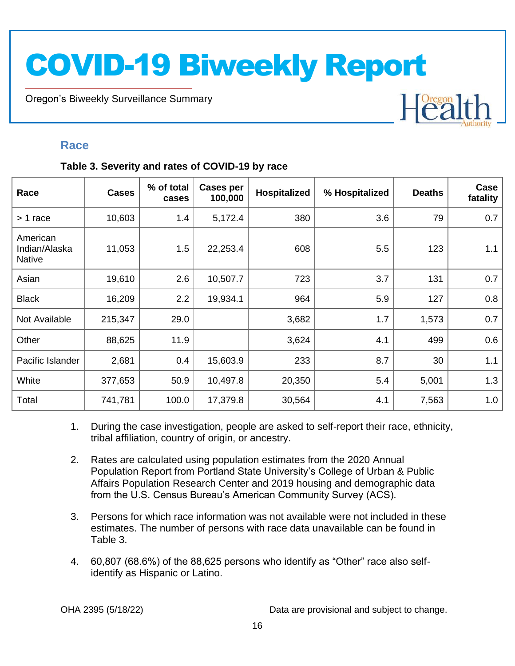Oregon's Biweekly Surveillance Summary

### **Race**

Novel Coronavirus (COVID-19)

### **Table 3. Severity and rates of COVID-19 by race**

| Race                                       | <b>Cases</b> | % of total<br>cases | Cases per<br>100,000 | Hospitalized | % Hospitalized | <b>Deaths</b> | Case<br>fatality |
|--------------------------------------------|--------------|---------------------|----------------------|--------------|----------------|---------------|------------------|
| $> 1$ race                                 | 10,603       | 1.4                 | 5,172.4              | 380          | 3.6            | 79            | 0.7              |
| American<br>Indian/Alaska<br><b>Native</b> | 11,053       | 1.5                 | 22,253.4             | 608          | 5.5            | 123           | 1.1              |
| Asian                                      | 19,610       | 2.6                 | 10,507.7             | 723          | 3.7            | 131           | 0.7              |
| <b>Black</b>                               | 16,209       | 2.2                 | 19,934.1             | 964          | 5.9            | 127           | 0.8              |
| Not Available                              | 215,347      | 29.0                |                      | 3,682        | 1.7            | 1,573         | 0.7              |
| Other                                      | 88,625       | 11.9                |                      | 3,624        | 4.1            | 499           | 0.6              |
| Pacific Islander                           | 2,681        | 0.4                 | 15,603.9             | 233          | 8.7            | 30            | 1.1              |
| White                                      | 377,653      | 50.9                | 10,497.8             | 20,350       | 5.4            | 5,001         | 1.3              |
| Total                                      | 741,781      | 100.0               | 17,379.8             | 30,564       | 4.1            | 7,563         | 1.0              |

- 1. During the case investigation, people are asked to self-report their race, ethnicity, tribal affiliation, country of origin, or ancestry.
- 2. Rates are calculated using population estimates from the 2020 Annual Population Report from Portland State University's College of Urban & Public Affairs Population Research Center and 2019 housing and demographic data from the U.S. Census Bureau's American Community Survey (ACS).
- 3. Persons for which race information was not available were not included in these estimates. The number of persons with race data unavailable can be found in Table 3.
- 4. 60,807 (68.6%) of the 88,625 persons who identify as "Other" race also selfidentify as Hispanic or Latino.

OHA 2395 (5/18/22) Data are provisional and subject to change.

**Heal**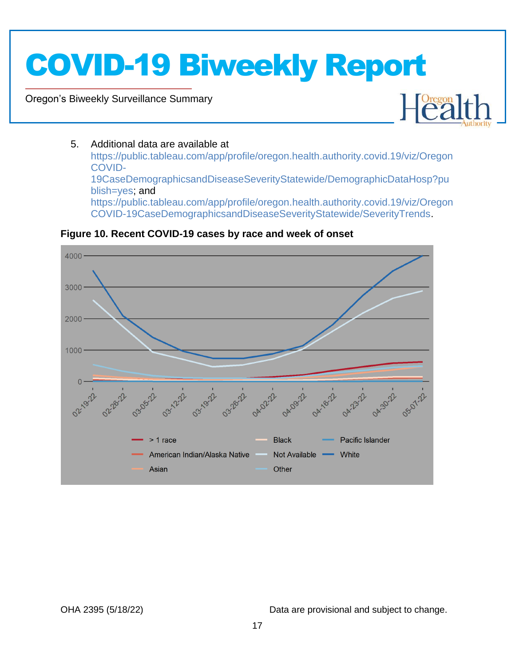### Oregon's Biweekly Surveillance Summary

Novel Coronavirus (COVID-19)



### 5. Additional data are available at

https://public.tableau.com/app/profile/oregon.health.authority.covid.19/viz/Oregon COVID-19CaseDemographicsandDiseaseSeverityStatewide/DemographicDataHosp?pu blish=yes; and https://public.tableau.com/app/profile/oregon.health.authority.covid.19/viz/Oregon COVID-19CaseDemographicsandDiseaseSeverityStatewide/SeverityTrends.



### **Figure 10. Recent COVID-19 cases by race and week of onset**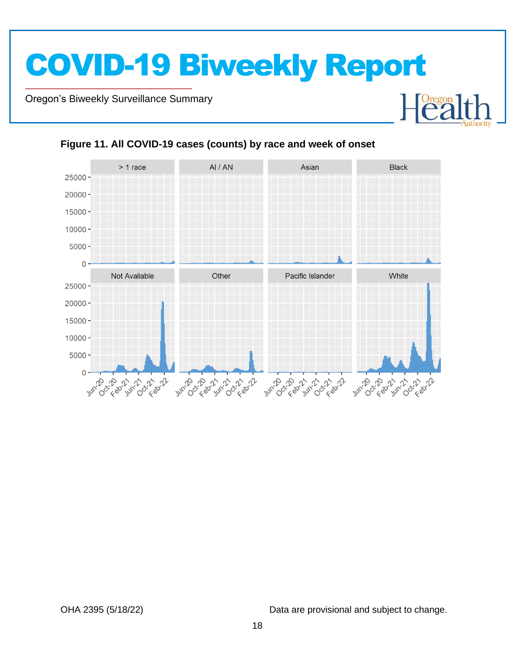Oregon's Biweekly Surveillance Summary

Novel Coronavirus (COVID-19)



### **Figure 11. All COVID-19 cases (counts) by race and week of onset**

OHA 2395 (5/18/22) Data are provisional and subject to change.

Heal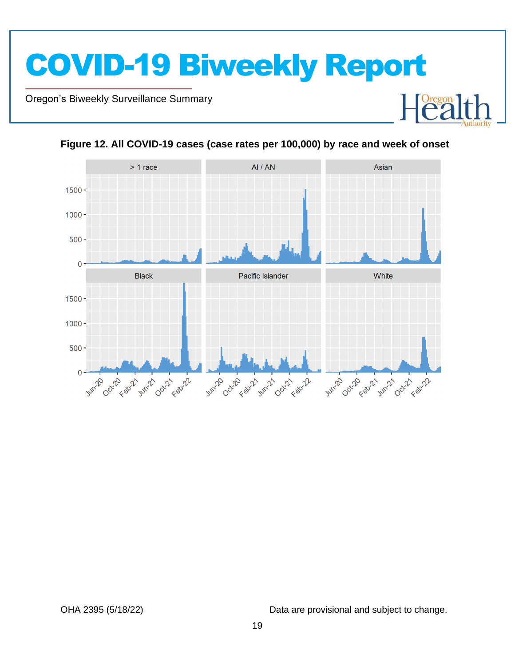



**Figure 12. All COVID-19 cases (case rates per 100,000) by race and week of onset**

Novel Coronavirus (COVID-19)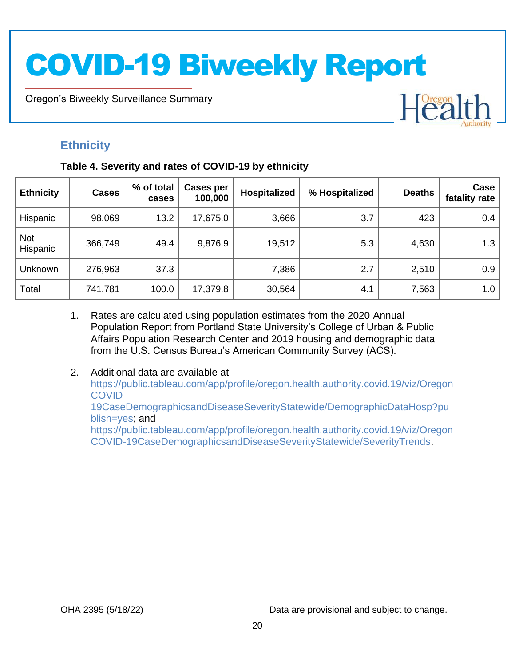Oregon's Biweekly Surveillance Summary

### **Ethnicity**

Novel Coronavirus (COVID-19)

### **Table 4. Severity and rates of COVID-19 by ethnicity**

| <b>Ethnicity</b>       | <b>Cases</b> | % of total<br>cases | Cases per<br>100,000 | <b>Hospitalized</b> | % Hospitalized | <b>Deaths</b> | Case<br>fatality rate |
|------------------------|--------------|---------------------|----------------------|---------------------|----------------|---------------|-----------------------|
| Hispanic               | 98,069       | 13.2                | 17,675.0             | 3,666               | 3.7            | 423           | 0.4                   |
| <b>Not</b><br>Hispanic | 366,749      | 49.4                | 9,876.9              | 19,512              | 5.3            | 4,630         | 1.3                   |
| Unknown                | 276,963      | 37.3                |                      | 7,386               | 2.7            | 2,510         | 0.9                   |
| Total                  | 741,781      | 100.0               | 17,379.8             | 30,564              | 4.1            | 7,563         | 1.0                   |

- 1. Rates are calculated using population estimates from the 2020 Annual Population Report from Portland State University's College of Urban & Public Affairs Population Research Center and 2019 housing and demographic data from the U.S. Census Bureau's American Community Survey (ACS).
- 2. Additional data are available at https://public.tableau.com/app/profile/oregon.health.authority.covid.19/viz/Oregon COVID-19CaseDemographicsandDiseaseSeverityStatewide/DemographicDataHosp?pu blish=yes; and https://public.tableau.com/app/profile/oregon.health.authority.covid.19/viz/Oregon COVID-19CaseDemographicsandDiseaseSeverityStatewide/SeverityTrends.

OHA 2395 (5/18/22) Data are provisional and subject to change.

Heal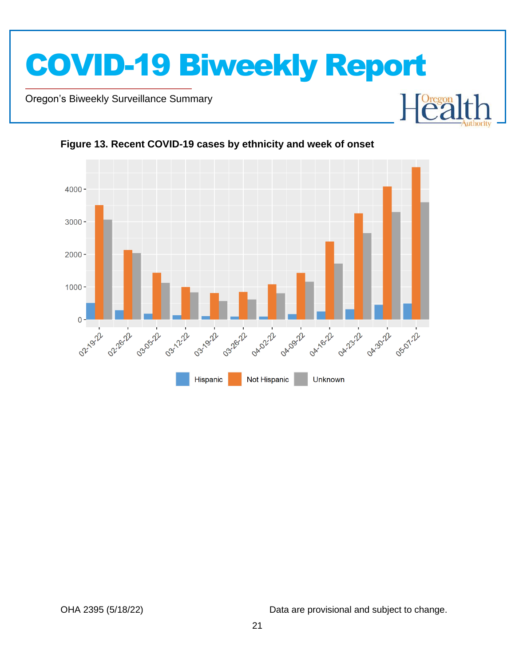

Oregon's Biweekly Surveillance Summary

Novel Coronavirus (COVID-19)



**Figure 13. Recent COVID-19 cases by ethnicity and week of onset**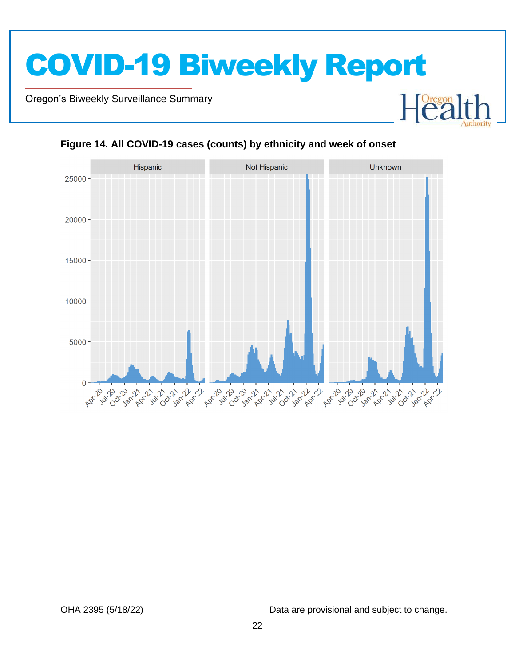Oregon's Biweekly Surveillance Summary

Novel Coronavirus (COVID-19)



### **Figure 14. All COVID-19 cases (counts) by ethnicity and week of onset**

OHA 2395 (5/18/22) Data are provisional and subject to change.

**Oregon**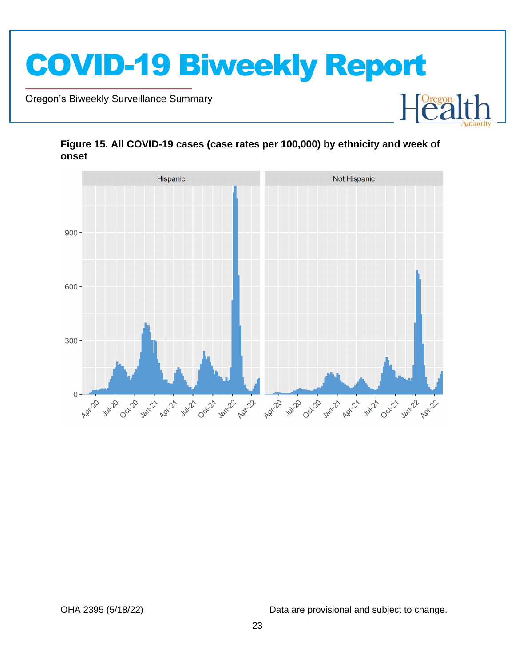





Novel Coronavirus (COVID-19)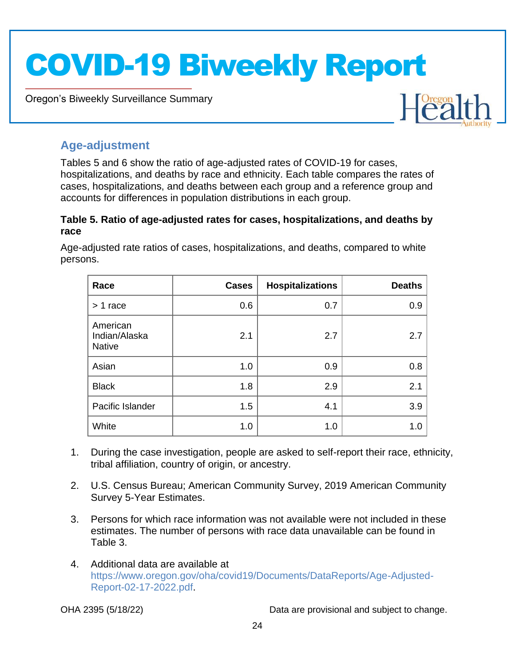Oregon's Biweekly Surveillance Summary



### **Age-adjustment**

Novel Coronavirus (COVID-19)

Tables 5 and 6 show the ratio of age-adjusted rates of COVID-19 for cases, hospitalizations, and deaths by race and ethnicity. Each table compares the rates of cases, hospitalizations, and deaths between each group and a reference group and accounts for differences in population distributions in each group.

### **Table 5. Ratio of age-adjusted rates for cases, hospitalizations, and deaths by race**

Age-adjusted rate ratios of cases, hospitalizations, and deaths, compared to white persons.

| Race                                       | <b>Cases</b> | <b>Hospitalizations</b> | <b>Deaths</b> |
|--------------------------------------------|--------------|-------------------------|---------------|
| > 1 race                                   | 0.6          | 0.7                     | 0.9           |
| American<br>Indian/Alaska<br><b>Native</b> | 2.1          | 2.7                     | 2.7           |
| Asian                                      | 1.0          | 0.9                     | 0.8           |
| <b>Black</b>                               | 1.8          | 2.9                     | 2.1           |
| Pacific Islander                           | 1.5          | 4.1                     | 3.9           |
| White                                      | 1.0          | 1.0                     | 1.0           |

- 1. During the case investigation, people are asked to self-report their race, ethnicity, tribal affiliation, country of origin, or ancestry.
- 2. U.S. Census Bureau; American Community Survey, 2019 American Community Survey 5-Year Estimates.
- 3. Persons for which race information was not available were not included in these estimates. The number of persons with race data unavailable can be found in Table 3.
- 4. Additional data are available at https://www.oregon.gov/oha/covid19/Documents/DataReports/Age-Adjusted-Report-02-17-2022.pdf.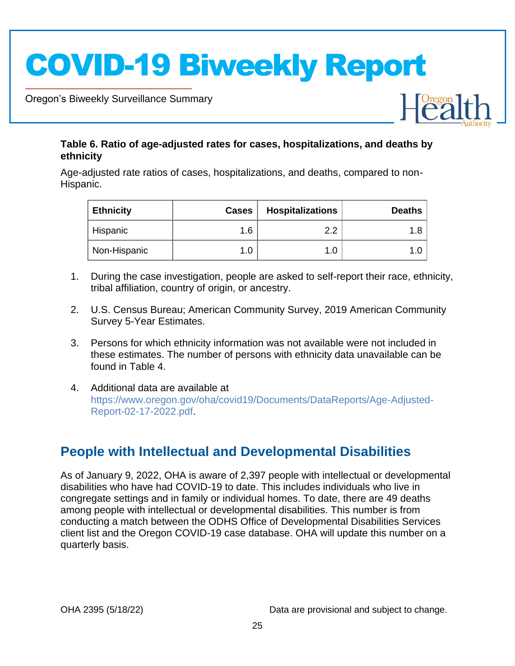Oregon's Biweekly Surveillance Summary

Novel Coronavirus (COVID-19)

### **Table 6. Ratio of age-adjusted rates for cases, hospitalizations, and deaths by ethnicity**

Age-adjusted rate ratios of cases, hospitalizations, and deaths, compared to non-Hispanic.

| <b>Ethnicity</b> | <b>Cases</b> | <b>Hospitalizations</b> | <b>Deaths</b> |
|------------------|--------------|-------------------------|---------------|
| Hispanic         | 1.6          | റ റ                     |               |
| Non-Hispanic     | 1.0          |                         |               |

- 1. During the case investigation, people are asked to self-report their race, ethnicity, tribal affiliation, country of origin, or ancestry.
- 2. U.S. Census Bureau; American Community Survey, 2019 American Community Survey 5-Year Estimates.
- 3. Persons for which ethnicity information was not available were not included in these estimates. The number of persons with ethnicity data unavailable can be found in Table 4.
- 4. Additional data are available at https://www.oregon.gov/oha/covid19/Documents/DataReports/Age-Adjusted-Report-02-17-2022.pdf.

### **People with Intellectual and Developmental Disabilities**

As of January 9, 2022, OHA is aware of 2,397 people with intellectual or developmental disabilities who have had COVID-19 to date. This includes individuals who live in congregate settings and in family or individual homes. To date, there are 49 deaths among people with intellectual or developmental disabilities. This number is from conducting a match between the ODHS Office of Developmental Disabilities Services client list and the Oregon COVID-19 case database. OHA will update this number on a quarterly basis.

OHA 2395 (5/18/22) Data are provisional and subject to change.

 $\left[\stackrel{texon}{2}\right]$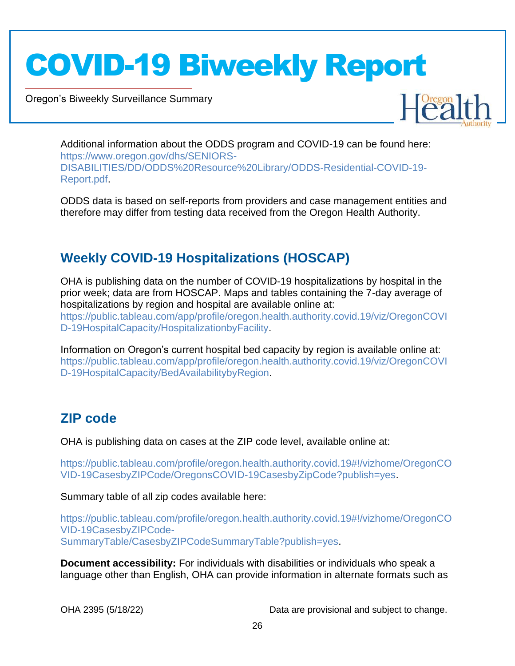Oregon's Biweekly Surveillance Summary

Novel Coronavirus (COVID-19)



Additional information about the ODDS program and COVID-19 can be found here: https://www.oregon.gov/dhs/SENIORS-DISABILITIES/DD/ODDS%20Resource%20Library/ODDS-Residential-COVID-19- Report.pdf.

ODDS data is based on self-reports from providers and case management entities and therefore may differ from testing data received from the Oregon Health Authority.

### **Weekly COVID-19 Hospitalizations (HOSCAP)**

OHA is publishing data on the number of COVID-19 hospitalizations by hospital in the prior week; data are from HOSCAP. Maps and tables containing the 7-day average of hospitalizations by region and hospital are available online at: https://public.tableau.com/app/profile/oregon.health.authority.covid.19/viz/OregonCOVI D-19HospitalCapacity/HospitalizationbyFacility.

Information on Oregon's current hospital bed capacity by region is available online at: https://public.tableau.com/app/profile/oregon.health.authority.covid.19/viz/OregonCOVI D-19HospitalCapacity/BedAvailabilitybyRegion.

### **ZIP code**

OHA is publishing data on cases at the ZIP code level, available online at:

https://public.tableau.com/profile/oregon.health.authority.covid.19#!/vizhome/OregonCO VID-19CasesbyZIPCode/OregonsCOVID-19CasesbyZipCode?publish=yes.

Summary table of all zip codes available here:

https://public.tableau.com/profile/oregon.health.authority.covid.19#!/vizhome/OregonCO VID-19CasesbyZIPCode-SummaryTable/CasesbyZIPCodeSummaryTable?publish=yes.

**Document accessibility:** For individuals with disabilities or individuals who speak a language other than English, OHA can provide information in alternate formats such as